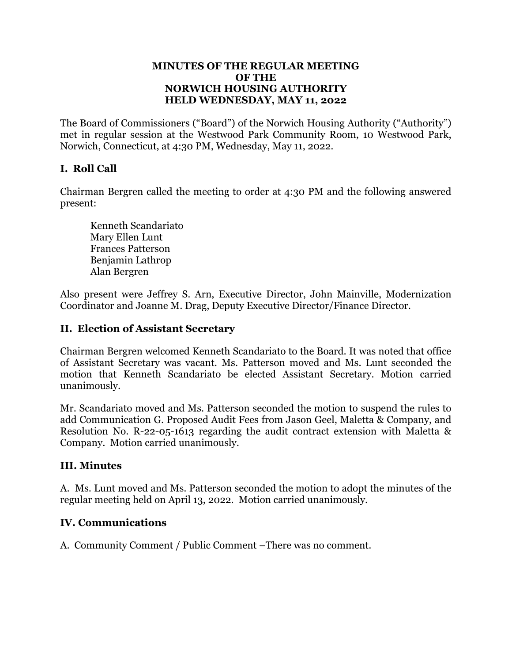#### **MINUTES OF THE REGULAR MEETING OF THE NORWICH HOUSING AUTHORITY HELD WEDNESDAY, MAY 11, 2022**

The Board of Commissioners ("Board") of the Norwich Housing Authority ("Authority") met in regular session at the Westwood Park Community Room, 10 Westwood Park, Norwich, Connecticut, at 4:30 PM, Wednesday, May 11, 2022.

# **I. Roll Call**

Chairman Bergren called the meeting to order at 4:30 PM and the following answered present:

 Kenneth Scandariato Mary Ellen Lunt Frances Patterson Benjamin Lathrop Alan Bergren

Also present were Jeffrey S. Arn, Executive Director, John Mainville, Modernization Coordinator and Joanne M. Drag, Deputy Executive Director/Finance Director.

### **II. Election of Assistant Secretary**

Chairman Bergren welcomed Kenneth Scandariato to the Board. It was noted that office of Assistant Secretary was vacant. Ms. Patterson moved and Ms. Lunt seconded the motion that Kenneth Scandariato be elected Assistant Secretary. Motion carried unanimously.

Mr. Scandariato moved and Ms. Patterson seconded the motion to suspend the rules to add Communication G. Proposed Audit Fees from Jason Geel, Maletta & Company, and Resolution No. R-22-05-1613 regarding the audit contract extension with Maletta & Company. Motion carried unanimously.

#### **III. Minutes**

A. Ms. Lunt moved and Ms. Patterson seconded the motion to adopt the minutes of the regular meeting held on April 13, 2022. Motion carried unanimously.

## **IV. Communications**

A. Community Comment / Public Comment –There was no comment.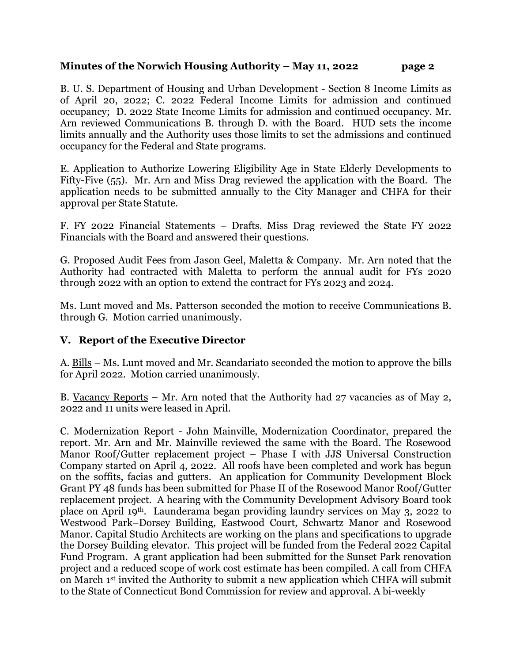B. U. S. Department of Housing and Urban Development - Section 8 Income Limits as of April 20, 2022; C. 2022 Federal Income Limits for admission and continued occupancy; D. 2022 State Income Limits for admission and continued occupancy. Mr. Arn reviewed Communications B. through D. with the Board. HUD sets the income limits annually and the Authority uses those limits to set the admissions and continued occupancy for the Federal and State programs.

E. Application to Authorize Lowering Eligibility Age in State Elderly Developments to Fifty-Five (55). Mr. Arn and Miss Drag reviewed the application with the Board. The application needs to be submitted annually to the City Manager and CHFA for their approval per State Statute.

F. FY 2022 Financial Statements – Drafts. Miss Drag reviewed the State FY 2022 Financials with the Board and answered their questions.

G. Proposed Audit Fees from Jason Geel, Maletta & Company. Mr. Arn noted that the Authority had contracted with Maletta to perform the annual audit for FYs 2020 through 2022 with an option to extend the contract for FYs 2023 and 2024.

Ms. Lunt moved and Ms. Patterson seconded the motion to receive Communications B. through G. Motion carried unanimously.

#### **V. Report of the Executive Director**

A. Bills – Ms. Lunt moved and Mr. Scandariato seconded the motion to approve the bills for April 2022. Motion carried unanimously.

B. Vacancy Reports – Mr. Arn noted that the Authority had 27 vacancies as of May 2, 2022 and 11 units were leased in April.

C. Modernization Report - John Mainville, Modernization Coordinator, prepared the report. Mr. Arn and Mr. Mainville reviewed the same with the Board. The Rosewood Manor Roof/Gutter replacement project – Phase I with JJS Universal Construction Company started on April 4, 2022. All roofs have been completed and work has begun on the soffits, facias and gutters. An application for Community Development Block Grant PY 48 funds has been submitted for Phase II of the Rosewood Manor Roof/Gutter replacement project. A hearing with the Community Development Advisory Board took place on April 19th. Launderama began providing laundry services on May 3, 2022 to Westwood Park–Dorsey Building, Eastwood Court, Schwartz Manor and Rosewood Manor. Capital Studio Architects are working on the plans and specifications to upgrade the Dorsey Building elevator. This project will be funded from the Federal 2022 Capital Fund Program. A grant application had been submitted for the Sunset Park renovation project and a reduced scope of work cost estimate has been compiled. A call from CHFA on March 1st invited the Authority to submit a new application which CHFA will submit to the State of Connecticut Bond Commission for review and approval. A bi-weekly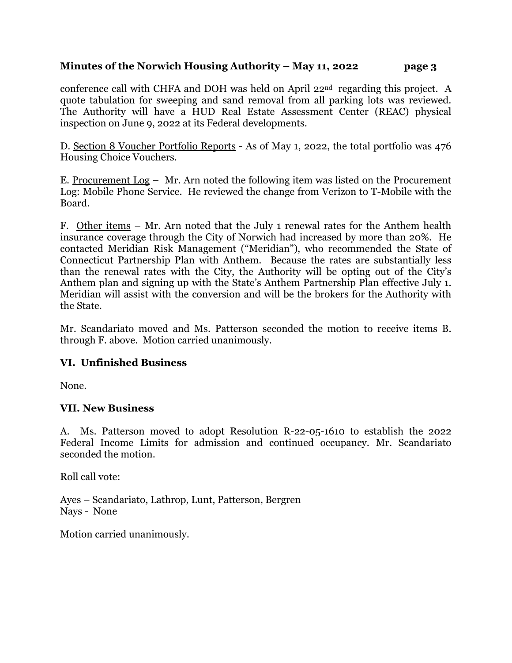conference call with CHFA and DOH was held on April 22nd regarding this project. A quote tabulation for sweeping and sand removal from all parking lots was reviewed. The Authority will have a HUD Real Estate Assessment Center (REAC) physical inspection on June 9, 2022 at its Federal developments.

D. Section 8 Voucher Portfolio Reports - As of May 1, 2022, the total portfolio was 476 Housing Choice Vouchers.

E. Procurement Log – Mr. Arn noted the following item was listed on the Procurement Log: Mobile Phone Service. He reviewed the change from Verizon to T-Mobile with the Board.

F. Other items – Mr. Arn noted that the July 1 renewal rates for the Anthem health insurance coverage through the City of Norwich had increased by more than 20%. He contacted Meridian Risk Management ("Meridian"), who recommended the State of Connecticut Partnership Plan with Anthem. Because the rates are substantially less than the renewal rates with the City, the Authority will be opting out of the City's Anthem plan and signing up with the State's Anthem Partnership Plan effective July 1. Meridian will assist with the conversion and will be the brokers for the Authority with the State.

Mr. Scandariato moved and Ms. Patterson seconded the motion to receive items B. through F. above. Motion carried unanimously.

#### **VI. Unfinished Business**

None.

## **VII. New Business**

A. Ms. Patterson moved to adopt Resolution R-22-05-1610 to establish the 2022 Federal Income Limits for admission and continued occupancy. Mr. Scandariato seconded the motion.

Roll call vote:

Ayes – Scandariato, Lathrop, Lunt, Patterson, Bergren Nays - None

Motion carried unanimously.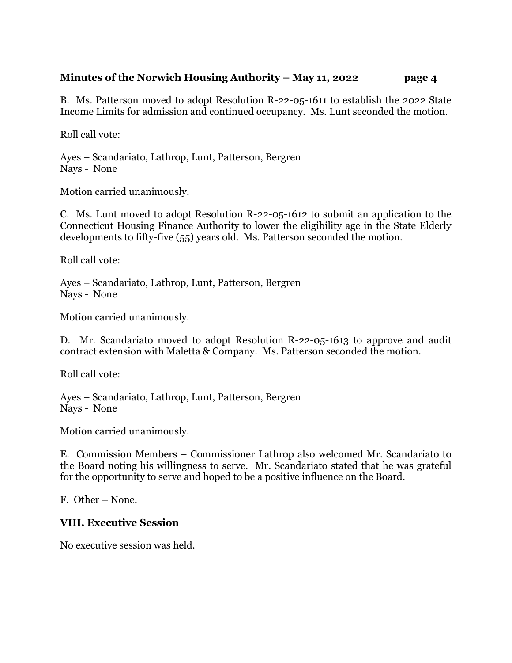B. Ms. Patterson moved to adopt Resolution R-22-05-1611 to establish the 2022 State Income Limits for admission and continued occupancy. Ms. Lunt seconded the motion.

Roll call vote:

Ayes – Scandariato, Lathrop, Lunt, Patterson, Bergren Nays - None

Motion carried unanimously.

C. Ms. Lunt moved to adopt Resolution R-22-05-1612 to submit an application to the Connecticut Housing Finance Authority to lower the eligibility age in the State Elderly developments to fifty-five (55) years old. Ms. Patterson seconded the motion.

Roll call vote:

Ayes – Scandariato, Lathrop, Lunt, Patterson, Bergren Nays - None

Motion carried unanimously.

D. Mr. Scandariato moved to adopt Resolution R-22-05-1613 to approve and audit contract extension with Maletta & Company. Ms. Patterson seconded the motion.

Roll call vote:

Ayes – Scandariato, Lathrop, Lunt, Patterson, Bergren Nays - None

Motion carried unanimously.

E. Commission Members – Commissioner Lathrop also welcomed Mr. Scandariato to the Board noting his willingness to serve. Mr. Scandariato stated that he was grateful for the opportunity to serve and hoped to be a positive influence on the Board.

F. Other – None.

## **VIII. Executive Session**

No executive session was held.